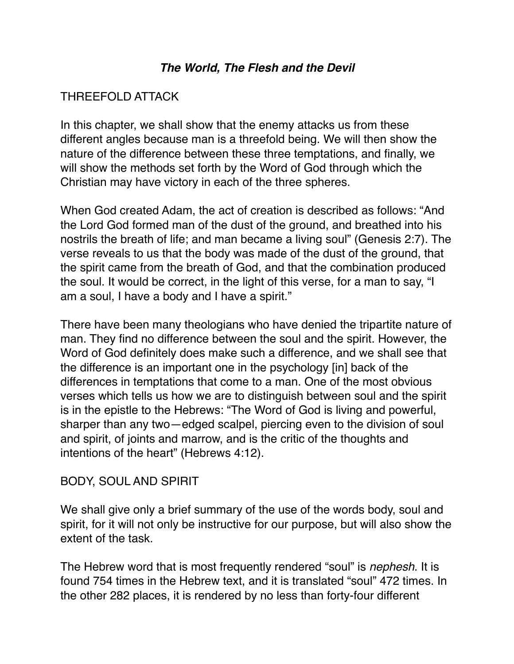### *The World, The Flesh and the Devil*

### THREEFOLD ATTACK

In this chapter, we shall show that the enemy attacks us from these different angles because man is a threefold being. We will then show the nature of the difference between these three temptations, and finally, we will show the methods set forth by the Word of God through which the Christian may have victory in each of the three spheres.

When God created Adam, the act of creation is described as follows: "And the Lord God formed man of the dust of the ground, and breathed into his nostrils the breath of life; and man became a living soul" (Genesis 2:7). The verse reveals to us that the body was made of the dust of the ground, that the spirit came from the breath of God, and that the combination produced the soul. It would be correct, in the light of this verse, for a man to say, "I am a soul, I have a body and I have a spirit."

There have been many theologians who have denied the tripartite nature of man. They find no difference between the soul and the spirit. However, the Word of God definitely does make such a difference, and we shall see that the difference is an important one in the psychology [in] back of the differences in temptations that come to a man. One of the most obvious verses which tells us how we are to distinguish between soul and the spirit is in the epistle to the Hebrews: "The Word of God is living and powerful, sharper than any two—edged scalpel, piercing even to the division of soul and spirit, of joints and marrow, and is the critic of the thoughts and intentions of the heart" (Hebrews 4:12).

#### BODY, SOUL AND SPIRIT

We shall give only a brief summary of the use of the words body, soul and spirit, for it will not only be instructive for our purpose, but will also show the extent of the task.

The Hebrew word that is most frequently rendered "soul" is *nephesh*. It is found 754 times in the Hebrew text, and it is translated "soul" 472 times. In the other 282 places, it is rendered by no less than forty-four different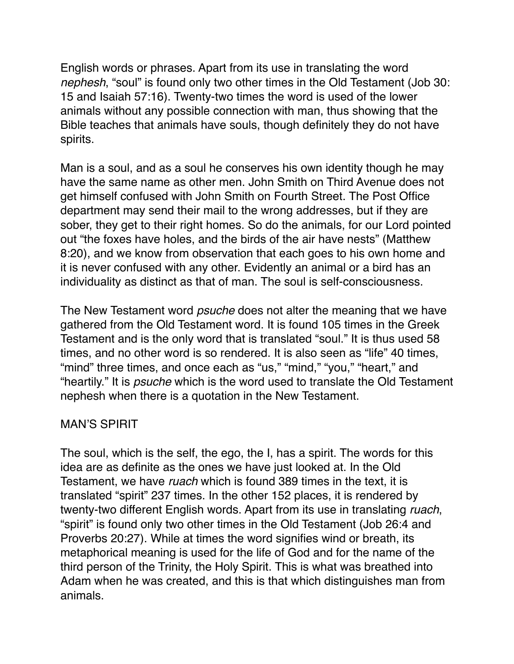English words or phrases. Apart from its use in translating the word *nephesh*, "soul" is found only two other times in the Old Testament (Job 30: 15 and Isaiah 57:16). Twenty-two times the word is used of the lower animals without any possible connection with man, thus showing that the Bible teaches that animals have souls, though definitely they do not have spirits.

Man is a soul, and as a soul he conserves his own identity though he may have the same name as other men. John Smith on Third Avenue does not get himself confused with John Smith on Fourth Street. The Post Office department may send their mail to the wrong addresses, but if they are sober, they get to their right homes. So do the animals, for our Lord pointed out "the foxes have holes, and the birds of the air have nests" (Matthew 8:20), and we know from observation that each goes to his own home and it is never confused with any other. Evidently an animal or a bird has an individuality as distinct as that of man. The soul is self-consciousness.

The New Testament word *psuche* does not alter the meaning that we have gathered from the Old Testament word. It is found 105 times in the Greek Testament and is the only word that is translated "soul." It is thus used 58 times, and no other word is so rendered. It is also seen as "life" 40 times, "mind" three times, and once each as "us," "mind," "you," "heart," and "heartily." It is *psuche* which is the word used to translate the Old Testament nephesh when there is a quotation in the New Testament.

### MAN'S SPIRIT

The soul, which is the self, the ego, the I, has a spirit. The words for this idea are as definite as the ones we have just looked at. In the Old Testament, we have *ruach* which is found 389 times in the text, it is translated "spirit" 237 times. In the other 152 places, it is rendered by twenty-two different English words. Apart from its use in translating *ruach*, "spirit" is found only two other times in the Old Testament (Job 26:4 and Proverbs 20:27). While at times the word signifies wind or breath, its metaphorical meaning is used for the life of God and for the name of the third person of the Trinity, the Holy Spirit. This is what was breathed into Adam when he was created, and this is that which distinguishes man from animals.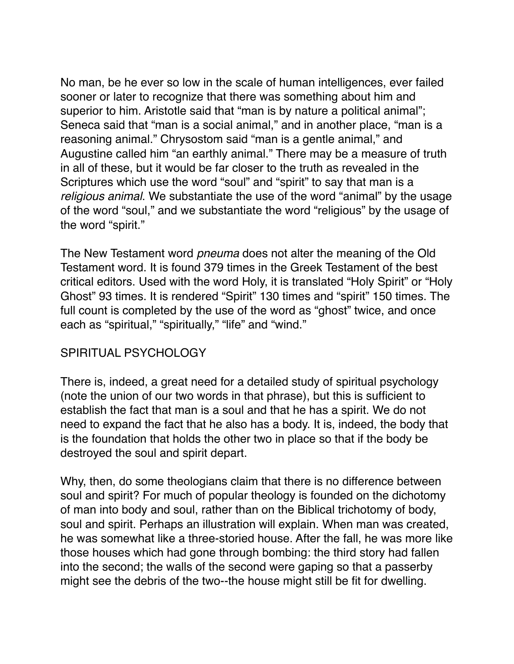No man, be he ever so low in the scale of human intelligences, ever failed sooner or later to recognize that there was something about him and superior to him. Aristotle said that "man is by nature a political animal"; Seneca said that "man is a social animal," and in another place, "man is a reasoning animal." Chrysostom said "man is a gentle animal," and Augustine called him "an earthly animal." There may be a measure of truth in all of these, but it would be far closer to the truth as revealed in the Scriptures which use the word "soul" and "spirit" to say that man is a *religious animal*. We substantiate the use of the word "animal" by the usage of the word "soul," and we substantiate the word "religious" by the usage of the word "spirit."

The New Testament word *pneuma* does not alter the meaning of the Old Testament word. It is found 379 times in the Greek Testament of the best critical editors. Used with the word Holy, it is translated "Holy Spirit" or "Holy Ghost" 93 times. It is rendered "Spirit" 130 times and "spirit" 150 times. The full count is completed by the use of the word as "ghost" twice, and once each as "spiritual," "spiritually," "life" and "wind."

# SPIRITUAL PSYCHOLOGY

There is, indeed, a great need for a detailed study of spiritual psychology (note the union of our two words in that phrase), but this is sufficient to establish the fact that man is a soul and that he has a spirit. We do not need to expand the fact that he also has a body. It is, indeed, the body that is the foundation that holds the other two in place so that if the body be destroyed the soul and spirit depart.

Why, then, do some theologians claim that there is no difference between soul and spirit? For much of popular theology is founded on the dichotomy of man into body and soul, rather than on the Biblical trichotomy of body, soul and spirit. Perhaps an illustration will explain. When man was created, he was somewhat like a three-storied house. After the fall, he was more like those houses which had gone through bombing: the third story had fallen into the second; the walls of the second were gaping so that a passerby might see the debris of the two--the house might still be fit for dwelling.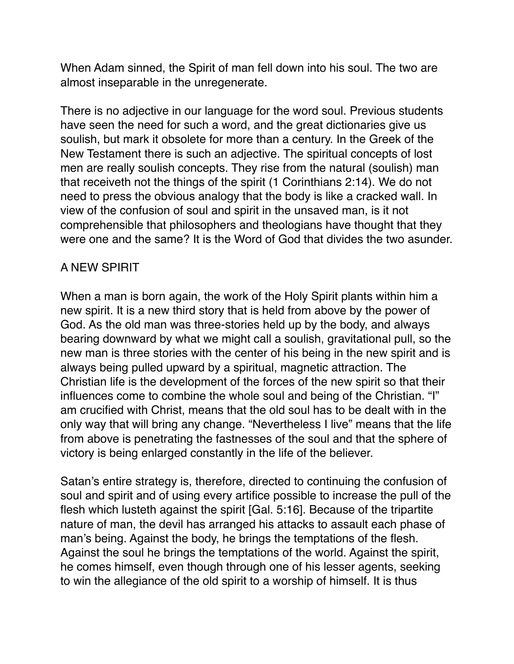When Adam sinned, the Spirit of man fell down into his soul. The two are almost inseparable in the unregenerate.

There is no adjective in our language for the word soul. Previous students have seen the need for such a word, and the great dictionaries give us soulish, but mark it obsolete for more than a century. In the Greek of the New Testament there is such an adjective. The spiritual concepts of lost men are really soulish concepts. They rise from the natural (soulish) man that receiveth not the things of the spirit (1 Corinthians 2:14). We do not need to press the obvious analogy that the body is like a cracked wall. In view of the confusion of soul and spirit in the unsaved man, is it not comprehensible that philosophers and theologians have thought that they were one and the same? It is the Word of God that divides the two asunder.

# A NEW SPIRIT

When a man is born again, the work of the Holy Spirit plants within him a new spirit. It is a new third story that is held from above by the power of God. As the old man was three-stories held up by the body, and always bearing downward by what we might call a soulish, gravitational pull, so the new man is three stories with the center of his being in the new spirit and is always being pulled upward by a spiritual, magnetic attraction. The Christian life is the development of the forces of the new spirit so that their influences come to combine the whole soul and being of the Christian. "I" am crucified with Christ, means that the old soul has to be dealt with in the only way that will bring any change. "Nevertheless I live" means that the life from above is penetrating the fastnesses of the soul and that the sphere of victory is being enlarged constantly in the life of the believer.

Satan's entire strategy is, therefore, directed to continuing the confusion of soul and spirit and of using every artifice possible to increase the pull of the flesh which lusteth against the spirit [Gal. 5:16]. Because of the tripartite nature of man, the devil has arranged his attacks to assault each phase of man's being. Against the body, he brings the temptations of the flesh. Against the soul he brings the temptations of the world. Against the spirit, he comes himself, even though through one of his lesser agents, seeking to win the allegiance of the old spirit to a worship of himself. It is thus